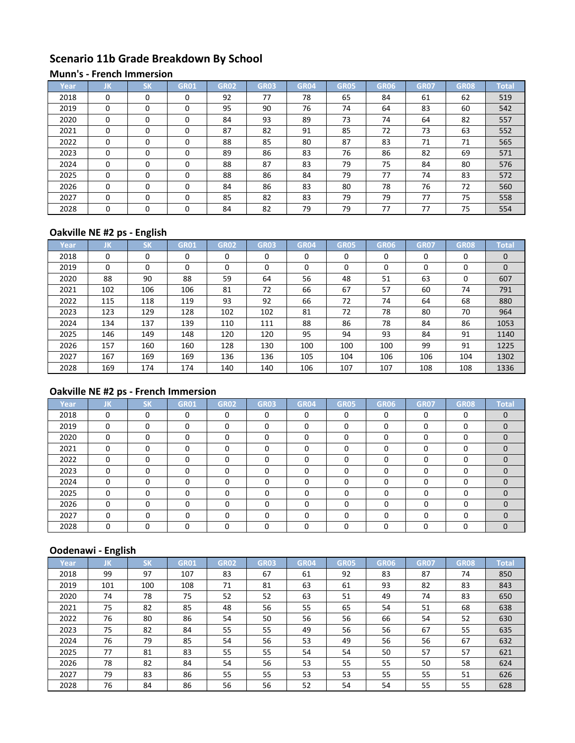# **Scenario 11b Grade Breakdown By School**

#### **Munn's - French Immersion**

| Year | JK       | <b>SK</b> | GR01     | <b>GR02</b> | <b>GR03</b> | <b>GR04</b> | <b>GR05</b> | <b>GR06</b> | <b>GR07</b> | <b>GR08</b> | <b>Total</b> |
|------|----------|-----------|----------|-------------|-------------|-------------|-------------|-------------|-------------|-------------|--------------|
| 2018 | $\Omega$ | $\Omega$  | 0        | 92          | 77          | 78          | 65          | 84          | 61          | 62          | 519          |
| 2019 | $\Omega$ | $\Omega$  | 0        | 95          | 90          | 76          | 74          | 64          | 83          | 60          | 542          |
| 2020 | $\Omega$ | $\Omega$  | 0        | 84          | 93          | 89          | 73          | 74          | 64          | 82          | 557          |
| 2021 | $\Omega$ | $\Omega$  | 0        | 87          | 82          | 91          | 85          | 72          | 73          | 63          | 552          |
| 2022 | $\Omega$ | $\Omega$  | $\Omega$ | 88          | 85          | 80          | 87          | 83          | 71          | 71          | 565          |
| 2023 | $\Omega$ | $\Omega$  | 0        | 89          | 86          | 83          | 76          | 86          | 82          | 69          | 571          |
| 2024 | $\Omega$ | $\Omega$  | $\Omega$ | 88          | 87          | 83          | 79          | 75          | 84          | 80          | 576          |
| 2025 | $\Omega$ | $\Omega$  | $\Omega$ | 88          | 86          | 84          | 79          | 77          | 74          | 83          | 572          |
| 2026 | $\Omega$ | $\Omega$  | $\Omega$ | 84          | 86          | 83          | 80          | 78          | 76          | 72          | 560          |
| 2027 | $\Omega$ | $\Omega$  | $\Omega$ | 85          | 82          | 83          | 79          | 79          | 77          | 75          | 558          |
| 2028 | $\Omega$ | $\Omega$  | 0        | 84          | 82          | 79          | 79          | 77          | 77          | 75          | 554          |

## **Oakville NE #2 ps - English**

| Year | IJΚ.     | <b>SK</b> | <b>GR01</b> | <b>GR02</b> | <b>GR03</b> | <b>GR04</b> | <b>GR05</b> | GR <sub>06</sub> | <b>GR07</b> | <b>GR08</b> | Total        |
|------|----------|-----------|-------------|-------------|-------------|-------------|-------------|------------------|-------------|-------------|--------------|
| 2018 | $\Omega$ | 0         | 0           | 0           | $\Omega$    | 0           | $\Omega$    | 0                | 0           | 0           | $\mathbf{0}$ |
| 2019 | 0        | 0         | 0           | 0           | 0           | 0           | 0           | 0                | 0           | 0           | $\mathbf{0}$ |
| 2020 | 88       | 90        | 88          | 59          | 64          | 56          | 48          | 51               | 63          | 0           | 607          |
| 2021 | 102      | 106       | 106         | 81          | 72          | 66          | 67          | 57               | 60          | 74          | 791          |
| 2022 | 115      | 118       | 119         | 93          | 92          | 66          | 72          | 74               | 64          | 68          | 880          |
| 2023 | 123      | 129       | 128         | 102         | 102         | 81          | 72          | 78               | 80          | 70          | 964          |
| 2024 | 134      | 137       | 139         | 110         | 111         | 88          | 86          | 78               | 84          | 86          | 1053         |
| 2025 | 146      | 149       | 148         | 120         | 120         | 95          | 94          | 93               | 84          | 91          | 1140         |
| 2026 | 157      | 160       | 160         | 128         | 130         | 100         | 100         | 100              | 99          | 91          | 1225         |
| 2027 | 167      | 169       | 169         | 136         | 136         | 105         | 104         | 106              | 106         | 104         | 1302         |
| 2028 | 169      | 174       | 174         | 140         | 140         | 106         | 107         | 107              | 108         | 108         | 1336         |

## **Oakville NE #2 ps - French Immersion**

| Year | JK       | <b>SK</b> | <b>GR01</b> | <b>GR02</b> | <b>GR03</b> | <b>GR04</b> | <b>GR05</b> | <b>GR06</b> | <b>GR07</b> | <b>GR08</b> | <b>Total</b> |
|------|----------|-----------|-------------|-------------|-------------|-------------|-------------|-------------|-------------|-------------|--------------|
| 2018 | 0        | 0         | $\Omega$    | $\Omega$    | $\Omega$    | $\Omega$    | $\Omega$    | $\Omega$    | $\Omega$    | $\Omega$    | $\Omega$     |
| 2019 | 0        | 0         | 0           | 0           | O           | 0           | $\Omega$    | 0           | 0           | 0           | $\Omega$     |
| 2020 | 0        | 0         | 0           | 0           | 0           | $\Omega$    | $\Omega$    | 0           | 0           | $\Omega$    | $\Omega$     |
| 2021 | 0        | 0         | 0           | 0           | $\Omega$    | $\Omega$    | $\Omega$    | O           | $\Omega$    | $\Omega$    | $\Omega$     |
| 2022 | 0        | 0         | 0           | O           | U           | $\Omega$    | n           | O           | $\Omega$    | $\Omega$    | $\Omega$     |
| 2023 | $\Omega$ | $\Omega$  | $\Omega$    | O           | n           | O           | n           | $\Omega$    | $\Omega$    | $\Omega$    | $\Omega$     |
| 2024 | $\Omega$ | $\Omega$  | $\Omega$    | U           | ∩           | O           | n           | O           | $\Omega$    | $\Omega$    | $\Omega$     |
| 2025 | $\Omega$ | 0         | $\Omega$    | 0           | $\Omega$    | $\Omega$    | n           | O           | $\Omega$    | $\Omega$    | $\Omega$     |
| 2026 | 0        | 0         |             | 0           | 0           | 0           | C           | ∩           | 0           | 0           | $\Omega$     |
| 2027 | U        | 0         | 0           | U           | 0           | 0           |             | O           | $\Omega$    | $\Omega$    | $\Omega$     |
| 2028 | 0        | 0         |             |             | U           | 0           |             | 0           | $\Omega$    | 0           | $\Omega$     |

## **Oodenawi - English**

|      | -   |           |             |             |             |             |             |      |             |             |              |
|------|-----|-----------|-------------|-------------|-------------|-------------|-------------|------|-------------|-------------|--------------|
| Year | IJΚ | <b>SK</b> | <b>GR01</b> | <b>GR02</b> | <b>GR03</b> | <b>GR04</b> | <b>GR05</b> | GR06 | <b>GR07</b> | <b>GR08</b> | <b>Total</b> |
| 2018 | 99  | 97        | 107         | 83          | 67          | 61          | 92          | 83   | 87          | 74          | 850          |
| 2019 | 101 | 100       | 108         | 71          | 81          | 63          | 61          | 93   | 82          | 83          | 843          |
| 2020 | 74  | 78        | 75          | 52          | 52          | 63          | 51          | 49   | 74          | 83          | 650          |
| 2021 | 75  | 82        | 85          | 48          | 56          | 55          | 65          | 54   | 51          | 68          | 638          |
| 2022 | 76  | 80        | 86          | 54          | 50          | 56          | 56          | 66   | 54          | 52          | 630          |
| 2023 | 75  | 82        | 84          | 55          | 55          | 49          | 56          | 56   | 67          | 55          | 635          |
| 2024 | 76  | 79        | 85          | 54          | 56          | 53          | 49          | 56   | 56          | 67          | 632          |
| 2025 | 77  | 81        | 83          | 55          | 55          | 54          | 54          | 50   | 57          | 57          | 621          |
| 2026 | 78  | 82        | 84          | 54          | 56          | 53          | 55          | 55   | 50          | 58          | 624          |
| 2027 | 79  | 83        | 86          | 55          | 55          | 53          | 53          | 55   | 55          | 51          | 626          |
| 2028 | 76  | 84        | 86          | 56          | 56          | 52          | 54          | 54   | 55          | 55          | 628          |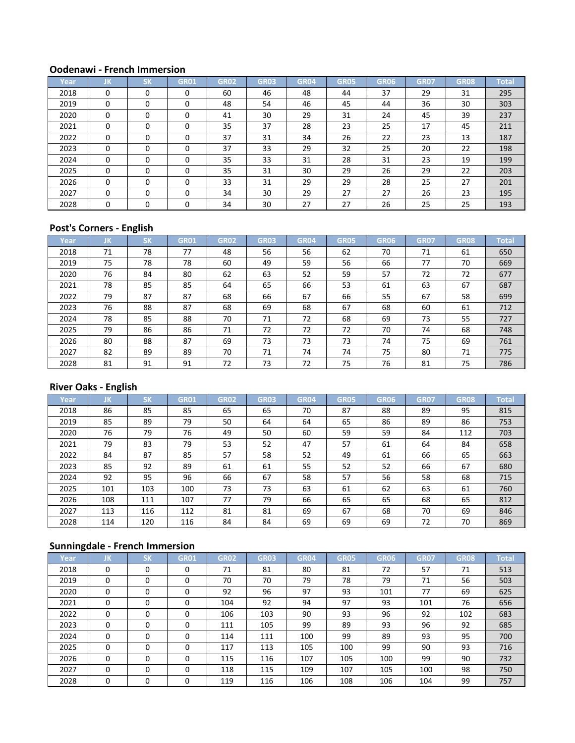#### **Oodenawi - French Immersion**

| Year | JK       | <b>SK</b> | <b>GR01</b> | <b>GR02</b> | <b>GR03</b> | <b>GR04</b> | <b>GR05</b> | GR06 | <b>GR07</b> | <b>GR08</b> | Total |
|------|----------|-----------|-------------|-------------|-------------|-------------|-------------|------|-------------|-------------|-------|
| 2018 | 0        | 0         | 0           | 60          | 46          | 48          | 44          | 37   | 29          | 31          | 295   |
| 2019 | $\Omega$ | $\Omega$  |             | 48          | 54          | 46          | 45          | 44   | 36          | 30          | 303   |
| 2020 | $\Omega$ | $\Omega$  |             | 41          | 30          | 29          | 31          | 24   | 45          | 39          | 237   |
| 2021 | $\Omega$ | $\Omega$  |             | 35          | 37          | 28          | 23          | 25   | 17          | 45          | 211   |
| 2022 | $\Omega$ | $\Omega$  |             | 37          | 31          | 34          | 26          | 22   | 23          | 13          | 187   |
| 2023 | $\Omega$ | $\Omega$  | 0           | 37          | 33          | 29          | 32          | 25   | 20          | 22          | 198   |
| 2024 | $\Omega$ | $\Omega$  | 0           | 35          | 33          | 31          | 28          | 31   | 23          | 19          | 199   |
| 2025 | 0        | $\Omega$  | $\Omega$    | 35          | 31          | 30          | 29          | 26   | 29          | 22          | 203   |
| 2026 | $\Omega$ | $\Omega$  | $\Omega$    | 33          | 31          | 29          | 29          | 28   | 25          | 27          | 201   |
| 2027 | $\Omega$ | $\Omega$  | $\Omega$    | 34          | 30          | 29          | 27          | 27   | 26          | 23          | 195   |
| 2028 | $\Omega$ | $\Omega$  |             | 34          | 30          | 27          | 27          | 26   | 25          | 25          | 193   |

## **Post's Corners - English**

| Year | IJΚ. | <b>SK</b> | <b>GR01</b> | GR <sub>02</sub> | <b>GR03</b> | GR04 | <b>GR05</b> | GR06 | <b>GR07</b> | <b>GR08</b> | <b>Total</b> |
|------|------|-----------|-------------|------------------|-------------|------|-------------|------|-------------|-------------|--------------|
| 2018 | 71   | 78        | 77          | 48               | 56          | 56   | 62          | 70   | 71          | 61          | 650          |
| 2019 | 75   | 78        | 78          | 60               | 49          | 59   | 56          | 66   | 77          | 70          | 669          |
| 2020 | 76   | 84        | 80          | 62               | 63          | 52   | 59          | 57   | 72          | 72          | 677          |
| 2021 | 78   | 85        | 85          | 64               | 65          | 66   | 53          | 61   | 63          | 67          | 687          |
| 2022 | 79   | 87        | 87          | 68               | 66          | 67   | 66          | 55   | 67          | 58          | 699          |
| 2023 | 76   | 88        | 87          | 68               | 69          | 68   | 67          | 68   | 60          | 61          | 712          |
| 2024 | 78   | 85        | 88          | 70               | 71          | 72   | 68          | 69   | 73          | 55          | 727          |
| 2025 | 79   | 86        | 86          | 71               | 72          | 72   | 72          | 70   | 74          | 68          | 748          |
| 2026 | 80   | 88        | 87          | 69               | 73          | 73   | 73          | 74   | 75          | 69          | 761          |
| 2027 | 82   | 89        | 89          | 70               | 71          | 74   | 74          | 75   | 80          | 71          | 775          |
| 2028 | 81   | 91        | 91          | 72               | 73          | 72   | 75          | 76   | 81          | 75          | 786          |

## **River Oaks - English**

| Year | JK  | <b>SK</b> | <b>GR01</b> | <b>GR02</b> | <b>GR03</b> | <b>GR04</b> | <b>GR05</b> | GR06 | <b>GR07</b> | <b>GR08</b> | <b>Total</b> |
|------|-----|-----------|-------------|-------------|-------------|-------------|-------------|------|-------------|-------------|--------------|
| 2018 | 86  | 85        | 85          | 65          | 65          | 70          | 87          | 88   | 89          | 95          | 815          |
| 2019 | 85  | 89        | 79          | 50          | 64          | 64          | 65          | 86   | 89          | 86          | 753          |
| 2020 | 76  | 79        | 76          | 49          | 50          | 60          | 59          | 59   | 84          | 112         | 703          |
| 2021 | 79  | 83        | 79          | 53          | 52          | 47          | 57          | 61   | 64          | 84          | 658          |
| 2022 | 84  | 87        | 85          | 57          | 58          | 52          | 49          | 61   | 66          | 65          | 663          |
| 2023 | 85  | 92        | 89          | 61          | 61          | 55          | 52          | 52   | 66          | 67          | 680          |
| 2024 | 92  | 95        | 96          | 66          | 67          | 58          | 57          | 56   | 58          | 68          | 715          |
| 2025 | 101 | 103       | 100         | 73          | 73          | 63          | 61          | 62   | 63          | 61          | 760          |
| 2026 | 108 | 111       | 107         | 77          | 79          | 66          | 65          | 65   | 68          | 65          | 812          |
| 2027 | 113 | 116       | 112         | 81          | 81          | 69          | 67          | 68   | 70          | 69          | 846          |
| 2028 | 114 | 120       | 116         | 84          | 84          | 69          | 69          | 69   | 72          | 70          | 869          |

## **Sunningdale - French Immersion**

| Year | JΚ       | <b>SK</b> | <b>GR01</b> | <b>GR02</b> | <b>GR03</b> | <b>GR04</b> | <b>GR05</b> | GR <sub>06</sub> | <b>GR07</b> | <b>GR08</b> | <b>Total</b> |
|------|----------|-----------|-------------|-------------|-------------|-------------|-------------|------------------|-------------|-------------|--------------|
| 2018 | $\Omega$ | $\Omega$  | $\Omega$    | 71          | 81          | 80          | 81          | 72               | 57          | 71          | 513          |
| 2019 | 0        | 0         | 0           | 70          | 70          | 79          | 78          | 79               | 71          | 56          | 503          |
| 2020 | 0        | 0         | 0           | 92          | 96          | 97          | 93          | 101              | 77          | 69          | 625          |
| 2021 | $\Omega$ | $\Omega$  | $\Omega$    | 104         | 92          | 94          | 97          | 93               | 101         | 76          | 656          |
| 2022 | $\Omega$ | $\Omega$  | 0           | 106         | 103         | 90          | 93          | 96               | 92          | 102         | 683          |
| 2023 | $\Omega$ | $\Omega$  |             | 111         | 105         | 99          | 89          | 93               | 96          | 92          | 685          |
| 2024 | $\Omega$ | $\Omega$  | 0           | 114         | 111         | 100         | 99          | 89               | 93          | 95          | 700          |
| 2025 | $\Omega$ | $\Omega$  | $\Omega$    | 117         | 113         | 105         | 100         | 99               | 90          | 93          | 716          |
| 2026 | $\Omega$ | $\Omega$  | 0           | 115         | 116         | 107         | 105         | 100              | 99          | 90          | 732          |
| 2027 | $\Omega$ | $\Omega$  | 0           | 118         | 115         | 109         | 107         | 105              | 100         | 98          | 750          |
| 2028 | $\Omega$ | 0         |             | 119         | 116         | 106         | 108         | 106              | 104         | 99          | 757          |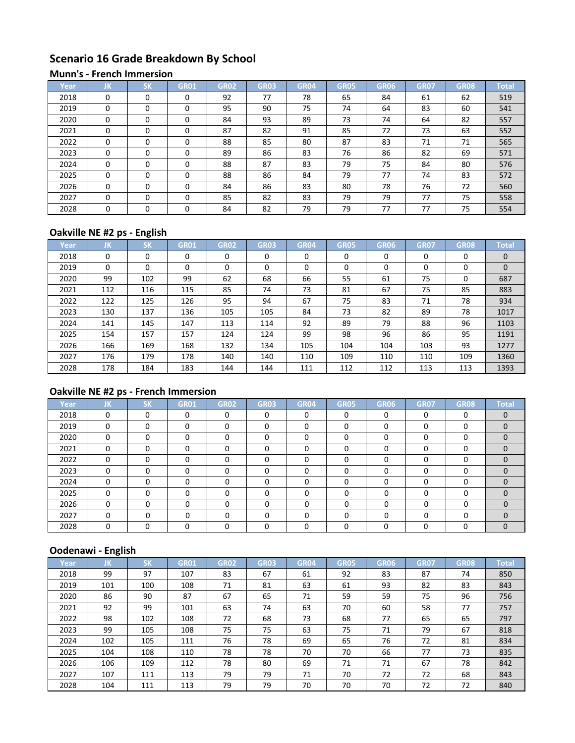# **Scenario 16 Grade Breakdown By School**

#### **Munn's - French Immersion**

| Year | JK       | <b>SK</b> | GR01     | <b>GR02</b> | <b>GR03</b> | <b>GR04</b> | <b>GR05</b> | GR <sub>06</sub> | <b>GR07</b> | <b>GR08</b> | <b>Total</b> |
|------|----------|-----------|----------|-------------|-------------|-------------|-------------|------------------|-------------|-------------|--------------|
| 2018 | $\Omega$ | $\Omega$  | 0        | 92          | 77          | 78          | 65          | 84               | 61          | 62          | 519          |
| 2019 | $\Omega$ | $\Omega$  | $\Omega$ | 95          | 90          | 75          | 74          | 64               | 83          | 60          | 541          |
| 2020 | $\Omega$ | $\Omega$  | 0        | 84          | 93          | 89          | 73          | 74               | 64          | 82          | 557          |
| 2021 | $\Omega$ | $\Omega$  | 0        | 87          | 82          | 91          | 85          | 72               | 73          | 63          | 552          |
| 2022 | $\Omega$ | $\Omega$  | $\Omega$ | 88          | 85          | 80          | 87          | 83               | 71          | 71          | 565          |
| 2023 | $\Omega$ | $\Omega$  | 0        | 89          | 86          | 83          | 76          | 86               | 82          | 69          | 571          |
| 2024 | $\Omega$ | $\Omega$  | 0        | 88          | 87          | 83          | 79          | 75               | 84          | 80          | 576          |
| 2025 | $\Omega$ | $\Omega$  | $\Omega$ | 88          | 86          | 84          | 79          | 77               | 74          | 83          | 572          |
| 2026 | $\Omega$ | $\Omega$  | $\Omega$ | 84          | 86          | 83          | 80          | 78               | 76          | 72          | 560          |
| 2027 | $\Omega$ | $\Omega$  | 0        | 85          | 82          | 83          | 79          | 79               | 77          | 75          | 558          |
| 2028 | $\Omega$ | $\Omega$  | $\Omega$ | 84          | 82          | 79          | 79          | 77               | 77          | 75          | 554          |

## **Oakville NE #2 ps - English**

| Year | IJΚ      | <b>SK</b> | <b>GR01</b> | <b>GR02</b> | <b>GR03</b> | <b>GR04</b> | <b>GR05</b> | GR06 | <b>GR07</b> | <b>GR08</b> | <b>Total</b> |
|------|----------|-----------|-------------|-------------|-------------|-------------|-------------|------|-------------|-------------|--------------|
| 2018 | $\Omega$ | 0         |             | 0           | 0           | 0           | $\Omega$    | 0    | 0           | 0           | $\mathbf{0}$ |
| 2019 | $\Omega$ | 0         | 0           | 0           | $\Omega$    | $\Omega$    | $\Omega$    | 0    | 0           | 0           | $\mathbf{0}$ |
| 2020 | 99       | 102       | 99          | 62          | 68          | 66          | 55          | 61   | 75          | 0           | 687          |
| 2021 | 112      | 116       | 115         | 85          | 74          | 73          | 81          | 67   | 75          | 85          | 883          |
| 2022 | 122      | 125       | 126         | 95          | 94          | 67          | 75          | 83   | 71          | 78          | 934          |
| 2023 | 130      | 137       | 136         | 105         | 105         | 84          | 73          | 82   | 89          | 78          | 1017         |
| 2024 | 141      | 145       | 147         | 113         | 114         | 92          | 89          | 79   | 88          | 96          | 1103         |
| 2025 | 154      | 157       | 157         | 124         | 124         | 99          | 98          | 96   | 86          | 95          | 1191         |
| 2026 | 166      | 169       | 168         | 132         | 134         | 105         | 104         | 104  | 103         | 93          | 1277         |
| 2027 | 176      | 179       | 178         | 140         | 140         | 110         | 109         | 110  | 110         | 109         | 1360         |
| 2028 | 178      | 184       | 183         | 144         | 144         | 111         | 112         | 112  | 113         | 113         | 1393         |

## **Oakville NE #2 ps - French Immersion**

| Year | JK       | <b>SK</b> | <b>GR01</b> | <b>GR02</b> | <b>GR03</b> | <b>GR04</b> | <b>GR05</b> | GR06 | <b>GR07</b> | <b>GR08</b> | <b>Total</b> |
|------|----------|-----------|-------------|-------------|-------------|-------------|-------------|------|-------------|-------------|--------------|
| 2018 | 0        | $\Omega$  | $\Omega$    | $\Omega$    | $\Omega$    | $\Omega$    | $\Omega$    | 0    | $\Omega$    | $\Omega$    | $\Omega$     |
| 2019 | 0        | 0         | 0           | 0           | 0           | 0           | $\Omega$    |      | 0           | 0           | $\Omega$     |
| 2020 | 0        | 0         | $\Omega$    | $\Omega$    | 0           | $\Omega$    | $\Omega$    |      | 0           | 0           | $\Omega$     |
| 2021 | 0        | 0         | O           | 0           | O           | $\Omega$    | $\Omega$    |      | $\Omega$    | 0           | $\Omega$     |
| 2022 | $\Omega$ | 0         | U           | O           | ŋ           | $\Omega$    | $\Omega$    |      | $\Omega$    | 0           |              |
| 2023 | $\Omega$ | $\Omega$  | O           | 0           | O           | $\Omega$    | $\Omega$    |      | $\Omega$    | 0           |              |
| 2024 | $\Omega$ | $\Omega$  | $\Omega$    | U           | n           | $\Omega$    | $\Omega$    |      | $\Omega$    | 0           | $\Omega$     |
| 2025 | $\Omega$ | 0         | $\Omega$    | 0           | O           | $\Omega$    | O           |      | 0           | 0           | $\Omega$     |
| 2026 | 0        | 0         |             | n           | ŋ           | $\Omega$    | $\Omega$    | ◠    | 0           | 0           | $\Omega$     |
| 2027 | $\Omega$ | 0         | 0           | n           | ŋ           | $\Omega$    | $\Omega$    |      | $\Omega$    | 0           | $\Omega$     |
| 2028 | 0        | 0         | O           |             |             | O           | 0           |      | 0           | 0           | $\Omega$     |

## **Oodenawi - English**

| Year | JΚ  | <b>SK</b> | <b>GR01</b> | <b>GR02</b> | <b>GR03</b> | <b>GR04</b> | <b>GR05</b> | <b>GR06</b> | <b>GR07</b> | <b>GR08</b> | <b>Total</b> |
|------|-----|-----------|-------------|-------------|-------------|-------------|-------------|-------------|-------------|-------------|--------------|
| 2018 | 99  | 97        | 107         | 83          | 67          | 61          | 92          | 83          | 87          | 74          | 850          |
| 2019 | 101 | 100       | 108         | 71          | 81          | 63          | 61          | 93          | 82          | 83          | 843          |
| 2020 | 86  | 90        | 87          | 67          | 65          | 71          | 59          | 59          | 75          | 96          | 756          |
| 2021 | 92  | 99        | 101         | 63          | 74          | 63          | 70          | 60          | 58          | 77          | 757          |
| 2022 | 98  | 102       | 108         | 72          | 68          | 73          | 68          | 77          | 65          | 65          | 797          |
| 2023 | 99  | 105       | 108         | 75          | 75          | 63          | 75          | 71          | 79          | 67          | 818          |
| 2024 | 102 | 105       | 111         | 76          | 78          | 69          | 65          | 76          | 72          | 81          | 834          |
| 2025 | 104 | 108       | 110         | 78          | 78          | 70          | 70          | 66          | 77          | 73          | 835          |
| 2026 | 106 | 109       | 112         | 78          | 80          | 69          | 71          | 71          | 67          | 78          | 842          |
| 2027 | 107 | 111       | 113         | 79          | 79          | 71          | 70          | 72          | 72          | 68          | 843          |
| 2028 | 104 | 111       | 113         | 79          | 79          | 70          | 70          | 70          | 72          | 72          | 840          |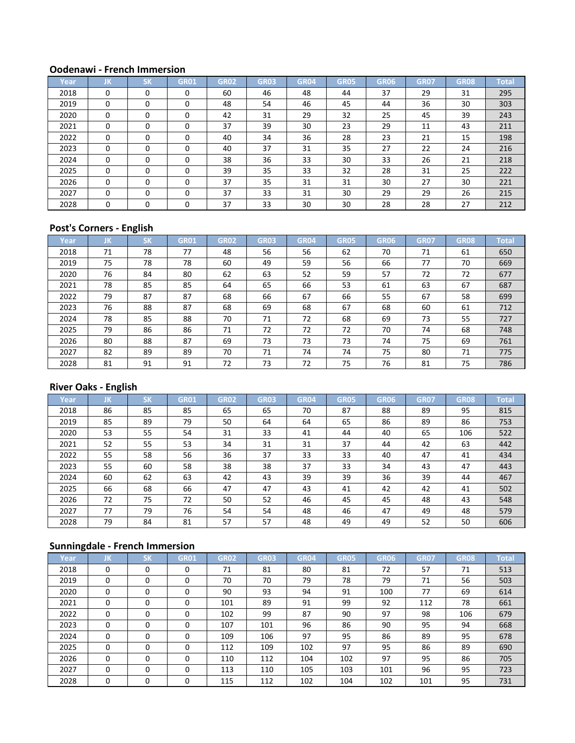#### **Oodenawi - French Immersion**

| Year | JK       | <b>SK</b> | <b>GR01</b> | <b>GR02</b> | <b>GR03</b> | <b>GR04</b> | <b>GR05</b> | GR06 | <b>GR07</b> | <b>GR08</b> | <b>Total</b> |
|------|----------|-----------|-------------|-------------|-------------|-------------|-------------|------|-------------|-------------|--------------|
| 2018 | 0        | $\Omega$  |             | 60          | 46          | 48          | 44          | 37   | 29          | 31          | 295          |
| 2019 | $\Omega$ | $\Omega$  |             | 48          | 54          | 46          | 45          | 44   | 36          | 30          | 303          |
| 2020 | $\Omega$ | $\Omega$  |             | 42          | 31          | 29          | 32          | 25   | 45          | 39          | 243          |
| 2021 | $\Omega$ | $\Omega$  |             | 37          | 39          | 30          | 23          | 29   | 11          | 43          | 211          |
| 2022 | 0        | $\Omega$  |             | 40          | 34          | 36          | 28          | 23   | 21          | 15          | 198          |
| 2023 | $\Omega$ | $\Omega$  | 0           | 40          | 37          | 31          | 35          | 27   | 22          | 24          | 216          |
| 2024 | $\Omega$ | $\Omega$  | 0           | 38          | 36          | 33          | 30          | 33   | 26          | 21          | 218          |
| 2025 | 0        | $\Omega$  | $\Omega$    | 39          | 35          | 33          | 32          | 28   | 31          | 25          | 222          |
| 2026 | 0        | $\Omega$  | 0           | 37          | 35          | 31          | 31          | 30   | 27          | 30          | 221          |
| 2027 | $\Omega$ | $\Omega$  | $\Omega$    | 37          | 33          | 31          | 30          | 29   | 29          | 26          | 215          |
| 2028 | $\Omega$ | $\Omega$  |             | 37          | 33          | 30          | 30          | 28   | 28          | 27          | 212          |

## **Post's Corners - English**

| Year | IJΚ. | <b>SK</b> | <b>GR01</b> | GR <sub>02</sub> | <b>GR03</b> | GR04 | <b>GR05</b> | GR06 | <b>GR07</b> | <b>GR08</b> | <b>Total</b> |
|------|------|-----------|-------------|------------------|-------------|------|-------------|------|-------------|-------------|--------------|
| 2018 | 71   | 78        | 77          | 48               | 56          | 56   | 62          | 70   | 71          | 61          | 650          |
| 2019 | 75   | 78        | 78          | 60               | 49          | 59   | 56          | 66   | 77          | 70          | 669          |
| 2020 | 76   | 84        | 80          | 62               | 63          | 52   | 59          | 57   | 72          | 72          | 677          |
| 2021 | 78   | 85        | 85          | 64               | 65          | 66   | 53          | 61   | 63          | 67          | 687          |
| 2022 | 79   | 87        | 87          | 68               | 66          | 67   | 66          | 55   | 67          | 58          | 699          |
| 2023 | 76   | 88        | 87          | 68               | 69          | 68   | 67          | 68   | 60          | 61          | 712          |
| 2024 | 78   | 85        | 88          | 70               | 71          | 72   | 68          | 69   | 73          | 55          | 727          |
| 2025 | 79   | 86        | 86          | 71               | 72          | 72   | 72          | 70   | 74          | 68          | 748          |
| 2026 | 80   | 88        | 87          | 69               | 73          | 73   | 73          | 74   | 75          | 69          | 761          |
| 2027 | 82   | 89        | 89          | 70               | 71          | 74   | 74          | 75   | 80          | 71          | 775          |
| 2028 | 81   | 91        | 91          | 72               | 73          | 72   | 75          | 76   | 81          | 75          | 786          |

## **River Oaks - English**

| Year | JΚ. | <b>SK</b> | <b>GR01</b> | <b>GR02</b> | <b>GR03</b> | <b>GR04</b> | <b>GR05</b> | GR06 | <b>GR07</b> | <b>GR08</b> | <b>Total</b> |
|------|-----|-----------|-------------|-------------|-------------|-------------|-------------|------|-------------|-------------|--------------|
| 2018 | 86  | 85        | 85          | 65          | 65          | 70          | 87          | 88   | 89          | 95          | 815          |
| 2019 | 85  | 89        | 79          | 50          | 64          | 64          | 65          | 86   | 89          | 86          | 753          |
| 2020 | 53  | 55        | 54          | 31          | 33          | 41          | 44          | 40   | 65          | 106         | 522          |
| 2021 | 52  | 55        | 53          | 34          | 31          | 31          | 37          | 44   | 42          | 63          | 442          |
| 2022 | 55  | 58        | 56          | 36          | 37          | 33          | 33          | 40   | 47          | 41          | 434          |
| 2023 | 55  | 60        | 58          | 38          | 38          | 37          | 33          | 34   | 43          | 47          | 443          |
| 2024 | 60  | 62        | 63          | 42          | 43          | 39          | 39          | 36   | 39          | 44          | 467          |
| 2025 | 66  | 68        | 66          | 47          | 47          | 43          | 41          | 42   | 42          | 41          | 502          |
| 2026 | 72  | 75        | 72          | 50          | 52          | 46          | 45          | 45   | 48          | 43          | 548          |
| 2027 | 77  | 79        | 76          | 54          | 54          | 48          | 46          | 47   | 49          | 48          | 579          |
| 2028 | 79  | 84        | 81          | 57          | 57          | 48          | 49          | 49   | 52          | 50          | 606          |

## **Sunningdale - French Immersion**

| Year | JΚ       | <b>SK</b> | <b>GR01</b> | <b>GR02</b> | <b>GR03</b> | <b>GR04</b> | <b>GR05</b> | GR06 | <b>GR07</b> | <b>GR08</b> | <b>Total</b> |
|------|----------|-----------|-------------|-------------|-------------|-------------|-------------|------|-------------|-------------|--------------|
| 2018 | $\Omega$ | $\Omega$  | $\Omega$    | 71          | 81          | 80          | 81          | 72   | 57          | 71          | 513          |
| 2019 | 0        | 0         | 0           | 70          | 70          | 79          | 78          | 79   | 71          | 56          | 503          |
| 2020 | $\Omega$ | 0         | 0           | 90          | 93          | 94          | 91          | 100  | 77          | 69          | 614          |
| 2021 | $\Omega$ | $\Omega$  | $\Omega$    | 101         | 89          | 91          | 99          | 92   | 112         | 78          | 661          |
| 2022 | $\Omega$ | $\Omega$  | 0           | 102         | 99          | 87          | 90          | 97   | 98          | 106         | 679          |
| 2023 | $\Omega$ | $\Omega$  |             | 107         | 101         | 96          | 86          | 90   | 95          | 94          | 668          |
| 2024 | $\Omega$ | $\Omega$  |             | 109         | 106         | 97          | 95          | 86   | 89          | 95          | 678          |
| 2025 | $\Omega$ | $\Omega$  | $\Omega$    | 112         | 109         | 102         | 97          | 95   | 86          | 89          | 690          |
| 2026 | $\Omega$ | $\Omega$  | $\Omega$    | 110         | 112         | 104         | 102         | 97   | 95          | 86          | 705          |
| 2027 | $\Omega$ | $\Omega$  | 0           | 113         | 110         | 105         | 103         | 101  | 96          | 95          | 723          |
| 2028 | 0        | 0         |             | 115         | 112         | 102         | 104         | 102  | 101         | 95          | 731          |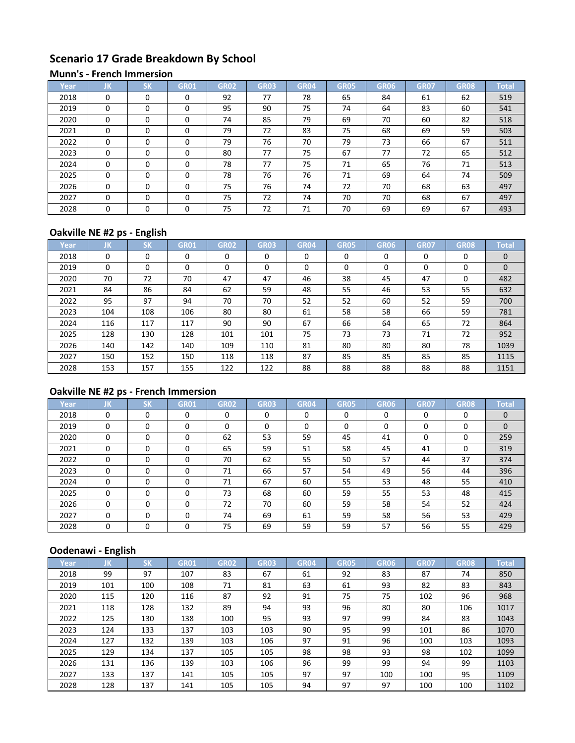# **Scenario 17 Grade Breakdown By School**

#### **Munn's - French Immersion**

| Year | JK       | <b>SK</b> | GR01     | <b>GR02</b> | <b>GR03</b> | <b>GR04</b> | <b>GR05</b> | <b>GR06</b> | <b>GR07</b> | <b>GR08</b> | <b>Total</b> |
|------|----------|-----------|----------|-------------|-------------|-------------|-------------|-------------|-------------|-------------|--------------|
| 2018 | $\Omega$ | $\Omega$  | 0        | 92          | 77          | 78          | 65          | 84          | 61          | 62          | 519          |
| 2019 | $\Omega$ | $\Omega$  | 0        | 95          | 90          | 75          | 74          | 64          | 83          | 60          | 541          |
| 2020 | $\Omega$ | $\Omega$  | 0        | 74          | 85          | 79          | 69          | 70          | 60          | 82          | 518          |
| 2021 | $\Omega$ | $\Omega$  | 0        | 79          | 72          | 83          | 75          | 68          | 69          | 59          | 503          |
| 2022 | $\Omega$ | $\Omega$  | 0        | 79          | 76          | 70          | 79          | 73          | 66          | 67          | 511          |
| 2023 | $\Omega$ | $\Omega$  | 0        | 80          | 77          | 75          | 67          | 77          | 72          | 65          | 512          |
| 2024 | $\Omega$ | $\Omega$  | 0        | 78          | 77          | 75          | 71          | 65          | 76          | 71          | 513          |
| 2025 | $\Omega$ | $\Omega$  | $\Omega$ | 78          | 76          | 76          | 71          | 69          | 64          | 74          | 509          |
| 2026 | $\Omega$ | $\Omega$  | $\Omega$ | 75          | 76          | 74          | 72          | 70          | 68          | 63          | 497          |
| 2027 | $\Omega$ | $\Omega$  | 0        | 75          | 72          | 74          | 70          | 70          | 68          | 67          | 497          |
| 2028 | $\Omega$ | $\Omega$  | 0        | 75          | 72          | 71          | 70          | 69          | 69          | 67          | 493          |

## **Oakville NE #2 ps - English**

| Year | IJΚ.     | <b>SK</b> | <b>GR01</b> | <b>GR02</b> | <b>GR03</b> | GR04     | <b>GR05</b> | GR06 | <b>GR07</b> | <b>GR08</b> | Total        |
|------|----------|-----------|-------------|-------------|-------------|----------|-------------|------|-------------|-------------|--------------|
| 2018 | $\Omega$ | 0         | 0           | 0           | $\Omega$    | $\Omega$ | $\Omega$    | 0    | 0           | 0           | $\Omega$     |
| 2019 | 0        | 0         | 0           | 0           | 0           | 0        | 0           | 0    | 0           | 0           | $\mathbf{0}$ |
| 2020 | 70       | 72        | 70          | 47          | 47          | 46       | 38          | 45   | 47          | 0           | 482          |
| 2021 | 84       | 86        | 84          | 62          | 59          | 48       | 55          | 46   | 53          | 55          | 632          |
| 2022 | 95       | 97        | 94          | 70          | 70          | 52       | 52          | 60   | 52          | 59          | 700          |
| 2023 | 104      | 108       | 106         | 80          | 80          | 61       | 58          | 58   | 66          | 59          | 781          |
| 2024 | 116      | 117       | 117         | 90          | 90          | 67       | 66          | 64   | 65          | 72          | 864          |
| 2025 | 128      | 130       | 128         | 101         | 101         | 75       | 73          | 73   | 71          | 72          | 952          |
| 2026 | 140      | 142       | 140         | 109         | 110         | 81       | 80          | 80   | 80          | 78          | 1039         |
| 2027 | 150      | 152       | 150         | 118         | 118         | 87       | 85          | 85   | 85          | 85          | 1115         |
| 2028 | 153      | 157       | 155         | 122         | 122         | 88       | 88          | 88   | 88          | 88          | 1151         |

## **Oakville NE #2 ps - French Immersion**

| Year | JK       | <b>SK</b> | <b>GR01</b> | GR02 | <b>GR03</b> | <b>GR04</b> | <b>GR05</b> | GR06 | <b>GR07</b> | <b>GR08</b> | <b>Total</b> |
|------|----------|-----------|-------------|------|-------------|-------------|-------------|------|-------------|-------------|--------------|
| 2018 | $\Omega$ | $\Omega$  | $\Omega$    | 0    | 0           | $\Omega$    | $\Omega$    | 0    | $\Omega$    | $\Omega$    | $\mathbf{0}$ |
| 2019 | 0        | 0         | 0           | 0    | 0           | $\Omega$    | 0           | 0    | 0           | 0           | $\Omega$     |
| 2020 | 0        | $\Omega$  | $\Omega$    | 62   | 53          | 59          | 45          | 41   | $\Omega$    | $\Omega$    | 259          |
| 2021 | $\Omega$ | 0         | O           | 65   | 59          | 51          | 58          | 45   | 41          | 0           | 319          |
| 2022 | $\Omega$ | 0         | O           | 70   | 62          | 55          | 50          | 57   | 44          | 37          | 374          |
| 2023 | $\Omega$ | $\Omega$  | 0           | 71   | 66          | 57          | 54          | 49   | 56          | 44          | 396          |
| 2024 | $\Omega$ | $\Omega$  | $\Omega$    | 71   | 67          | 60          | 55          | 53   | 48          | 55          | 410          |
| 2025 | $\Omega$ | $\Omega$  | $\Omega$    | 73   | 68          | 60          | 59          | 55   | 53          | 48          | 415          |
| 2026 | $\Omega$ | 0         | $\Omega$    | 72   | 70          | 60          | 59          | 58   | 54          | 52          | 424          |
| 2027 | $\Omega$ | $\Omega$  | 0           | 74   | 69          | 61          | 59          | 58   | 56          | 53          | 429          |
| 2028 | $\Omega$ | 0         | $\Omega$    | 75   | 69          | 59          | 59          | 57   | 56          | 55          | 429          |

## **Oodenawi - English**

| Year | IJΚ | <b>SK</b> | <b>GR01</b> | <b>GR02</b> | <b>GR03</b> | <b>GR04</b> | <b>GR05</b> | GR06 | <b>GR07</b> | <b>GR08</b> | <b>Total</b> |
|------|-----|-----------|-------------|-------------|-------------|-------------|-------------|------|-------------|-------------|--------------|
| 2018 | 99  | 97        | 107         | 83          | 67          | 61          | 92          | 83   | 87          | 74          | 850          |
| 2019 | 101 | 100       | 108         | 71          | 81          | 63          | 61          | 93   | 82          | 83          | 843          |
| 2020 | 115 | 120       | 116         | 87          | 92          | 91          | 75          | 75   | 102         | 96          | 968          |
| 2021 | 118 | 128       | 132         | 89          | 94          | 93          | 96          | 80   | 80          | 106         | 1017         |
| 2022 | 125 | 130       | 138         | 100         | 95          | 93          | 97          | 99   | 84          | 83          | 1043         |
| 2023 | 124 | 133       | 137         | 103         | 103         | 90          | 95          | 99   | 101         | 86          | 1070         |
| 2024 | 127 | 132       | 139         | 103         | 106         | 97          | 91          | 96   | 100         | 103         | 1093         |
| 2025 | 129 | 134       | 137         | 105         | 105         | 98          | 98          | 93   | 98          | 102         | 1099         |
| 2026 | 131 | 136       | 139         | 103         | 106         | 96          | 99          | 99   | 94          | 99          | 1103         |
| 2027 | 133 | 137       | 141         | 105         | 105         | 97          | 97          | 100  | 100         | 95          | 1109         |
| 2028 | 128 | 137       | 141         | 105         | 105         | 94          | 97          | 97   | 100         | 100         | 1102         |